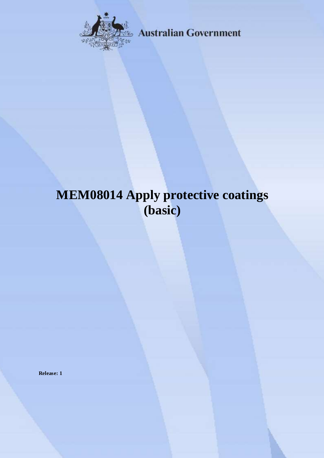

**Australian Government** 

# **MEM08014 Apply protective coatings (basic)**

**Release: 1**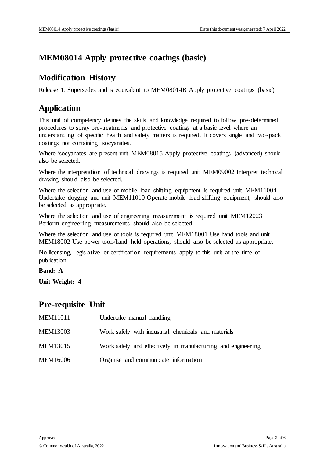## **MEM08014 Apply protective coatings (basic)**

### **Modification History**

Release 1. Supersedes and is equivalent to MEM08014B Apply protective coatings (basic)

## **Application**

This unit of competency defines the skills and knowledge required to follow pre-determined procedures to spray pre-treatments and protective coatings at a basic level where an understanding of specific health and safety matters is required. It covers single and two-pack coatings not containing isocyanates.

Where isocyanates are present unit MEM08015 Apply protective coatings (advanced) should also be selected.

Where the interpretation of technical drawings is required unit MEM09002 Interpret technical drawing should also be selected.

Where the selection and use of mobile load shifting equipment is required unit MEM11004 Undertake dogging and unit MEM11010 Operate mobile load shifting equipment, should also be selected as appropriate.

Where the selection and use of engineering measurement is required unit MEM12023 Perform engineering measurements should also be selected.

Where the selection and use of tools is required unit MEM18001 Use hand tools and unit MEM18002 Use power tools/hand held operations, should also be selected as appropriate.

No licensing, legislative or certification requirements apply to this unit at the time of publication.

**Band: A**

**Unit Weight: 4**

#### **Pre-requisite Unit**

| MEM11011 | Undertake manual handling                                    |
|----------|--------------------------------------------------------------|
| MEM13003 | Work safely with industrial chemicals and materials          |
| MEM13015 | Work safely and effectively in manufacturing and engineering |
| MEM16006 | Organise and communicate information                         |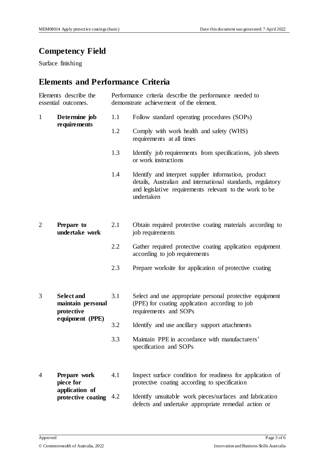## **Competency Field**

Surface finishing

# **Elements and Performance Criteria**

| Elements describe the<br>essential outcomes. |                                                                         | Performance criteria describe the performance needed to<br>demonstrate achievement of the element. |                                                                                                                                                                                              |  |
|----------------------------------------------|-------------------------------------------------------------------------|----------------------------------------------------------------------------------------------------|----------------------------------------------------------------------------------------------------------------------------------------------------------------------------------------------|--|
| $\mathbf{1}$                                 | Determine job<br>requirements                                           | 1.1                                                                                                | Follow standard operating procedures (SOPs)                                                                                                                                                  |  |
|                                              |                                                                         | 1.2                                                                                                | Comply with work health and safety (WHS)<br>requirements at all times                                                                                                                        |  |
|                                              |                                                                         | 1.3                                                                                                | Identify job requirements from specifications, job sheets<br>or work instructions                                                                                                            |  |
|                                              |                                                                         | 1.4                                                                                                | Identify and interpret supplier information, product<br>details, Australian and international standards, regulatory<br>and legislative requirements relevant to the work to be<br>undertaken |  |
| $\overline{2}$                               | Prepare to<br>undertake work                                            | 2.1                                                                                                | Obtain required protective coating materials according to<br>job requirements                                                                                                                |  |
|                                              |                                                                         | 2.2                                                                                                | Gather required protective coating application equipment<br>according to job requirements                                                                                                    |  |
|                                              |                                                                         | 2.3                                                                                                | Prepare worksite for application of protective coating                                                                                                                                       |  |
| 3                                            | <b>Select and</b><br>maintain personal<br>protective<br>equipment (PPE) | 3.1                                                                                                | Select and use appropriate personal protective equipment<br>(PPE) for coating application according to job<br>requirements and SOPs                                                          |  |
|                                              |                                                                         | 3.2                                                                                                | Identify and use ancillary support attachments                                                                                                                                               |  |
|                                              |                                                                         | 3.3                                                                                                | Maintain PPE in accordance with manufacturers'<br>specification and SOPs                                                                                                                     |  |
| 4                                            | Prepare work<br>piece for<br>application of<br>protective coating       | 4.1                                                                                                | Inspect surface condition for readiness for application of<br>protective coating according to specification                                                                                  |  |
|                                              |                                                                         | 4.2                                                                                                | Identify unsuitable work pieces/surfaces and fabrication<br>defects and undertake appropriate remedial action or                                                                             |  |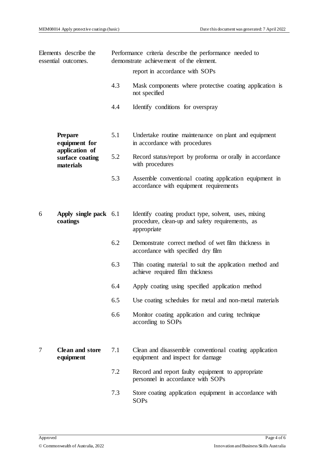| Elements describe the<br>essential outcomes. |                                                | Performance criteria describe the performance needed to<br>demonstrate achievement of the element. |                                                                                                                        |  |  |
|----------------------------------------------|------------------------------------------------|----------------------------------------------------------------------------------------------------|------------------------------------------------------------------------------------------------------------------------|--|--|
|                                              |                                                |                                                                                                    | report in accordance with SOPs                                                                                         |  |  |
|                                              |                                                | 4.3                                                                                                | Mask components where protective coating application is<br>not specified                                               |  |  |
|                                              |                                                | 4.4                                                                                                | Identify conditions for overspray                                                                                      |  |  |
|                                              | <b>Prepare</b><br>equipment for                | 5.1                                                                                                | Undertake routine maintenance on plant and equipment<br>in accordance with procedures                                  |  |  |
|                                              | application of<br>surface coating<br>materials | 5.2                                                                                                | Record status/report by proforma or orally in accordance<br>with procedures                                            |  |  |
|                                              |                                                | 5.3                                                                                                | Assemble conventional coating application equipment in<br>accordance with equipment requirements                       |  |  |
| 6                                            | Apply single pack 6.1<br>coatings              |                                                                                                    | Identify coating product type, solvent, uses, mixing<br>procedure, clean-up and safety requirements, as<br>appropriate |  |  |
|                                              |                                                | 6.2                                                                                                | Demonstrate correct method of wet film thickness in<br>accordance with specified dry film                              |  |  |
|                                              |                                                | 6.3                                                                                                | Thin coating material to suit the application method and<br>achieve required film thickness                            |  |  |
|                                              |                                                | 6.4                                                                                                | Apply coating using specified application method                                                                       |  |  |
|                                              |                                                | 6.5                                                                                                | Use coating schedules for metal and non-metal materials                                                                |  |  |
|                                              |                                                | 6.6                                                                                                | Monitor coating application and curing technique<br>according to SOPs                                                  |  |  |
| 7                                            | <b>Clean and store</b><br>equipment            | 7.1                                                                                                | Clean and disassemble conventional coating application<br>equipment and inspect for damage                             |  |  |
|                                              |                                                | 7.2                                                                                                | Record and report faulty equipment to appropriate<br>personnel in accordance with SOPs                                 |  |  |
|                                              |                                                | 7.3                                                                                                | Store coating application equipment in accordance with<br><b>SOPs</b>                                                  |  |  |
|                                              |                                                |                                                                                                    |                                                                                                                        |  |  |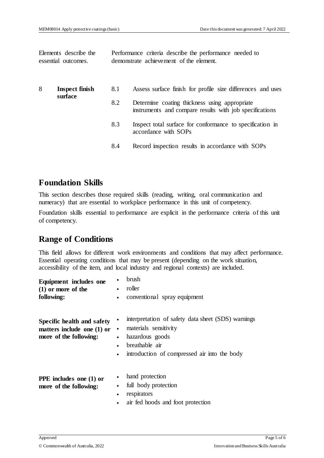Elements describe the essential outcomes.

Performance criteria describe the performance needed to demonstrate achievement of the element.

| 8 | <b>Inspect finish</b><br>surface | 8.1 | Assess surface finish for profile size differences and uses                                              |
|---|----------------------------------|-----|----------------------------------------------------------------------------------------------------------|
|   |                                  | 8.2 | Determine coating thickness using appropriate<br>instruments and compare results with job specifications |
|   |                                  | 8.3 | Inspect total surface for conformance to specification in<br>accordance with SOPs                        |
|   |                                  | 8.4 | Record inspection results in accordance with SOPs                                                        |

## **Foundation Skills**

This section describes those required skills (reading, writing, oral communication and numeracy) that are essential to workplace performance in this unit of competency.

Foundation skills essential to performance are explicit in the performance criteria of this unit of competency.

## **Range of Conditions**

This field allows for different work environments and conditions that may affect performance. Essential operating conditions that may be present (depending on the work situation, accessibility of the item, and local industry and regional contexts) are included.

| Equipment includes one<br>$(1)$ or more of the<br>following:                         | brush<br>roller<br>conventional spray equipment<br>$\bullet$                                                                                                                       |
|--------------------------------------------------------------------------------------|------------------------------------------------------------------------------------------------------------------------------------------------------------------------------------|
| Specific health and safety<br>matters include one $(1)$ or<br>more of the following: | interpretation of safety data sheet (SDS) warnings<br>materials sensitivity<br>٠<br>hazardous goods<br>breathable air<br>$\bullet$<br>introduction of compressed air into the body |
| PPE includes one (1) or<br>more of the following:                                    | hand protection<br>full body protection<br>٠<br>respirators<br>٠<br>air fed hoods and foot protection                                                                              |